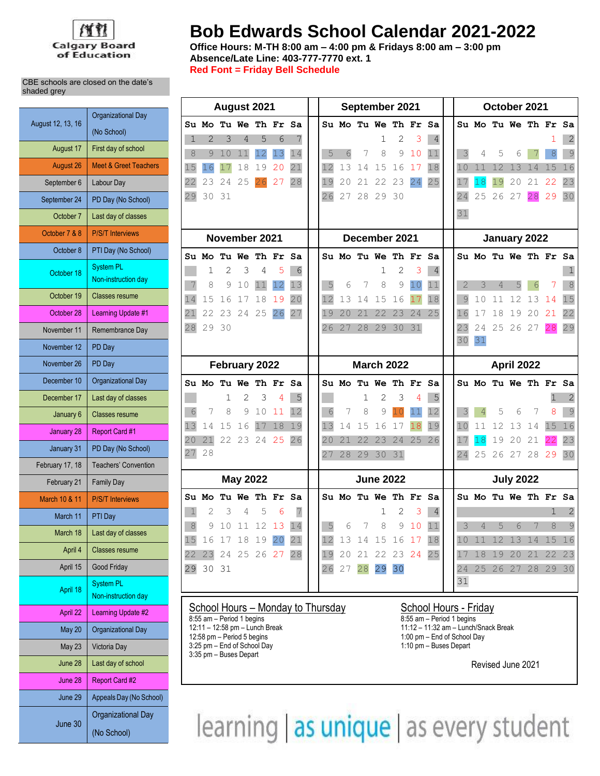

# **Bob Edwards School Calendar 2021-2022**

Т

**Office Hours: M-TH 8:00 am – 4:00 pm & Fridays 8:00 am – 3:00 pm Absence/Late Line: 403-777-7770 ext. 1 Red Font = Friday Bell Schedule**

Т

| CBE schools are closed on the date's |  |
|--------------------------------------|--|
| shaded grey                          |  |

| August 12, 13, 16 | <b>Organizational Day</b>                |
|-------------------|------------------------------------------|
|                   | (No School)                              |
| August 17         | First day of school                      |
| <b>August 26</b>  | <b>Meet &amp; Greet Teachers</b>         |
| September 6       | Labour Day                               |
| September 24      | PD Day (No School)                       |
| October 7         | Last day of classes                      |
| October 7 & 8     | <b>P/S/T Interviews</b>                  |
| October 8         | PTI Day (No School)                      |
| October 18        | <b>System PL</b><br>Non-instruction day  |
| October 19        | <b>Classes resume</b>                    |
| October 28        | Learning Update #1                       |
| November 11       | Remembrance Day                          |
| November 12       | PD Day                                   |
| November 26       | PD Day                                   |
| December 10       | <b>Organizational Day</b>                |
| December 17       | Last day of classes                      |
| January 6         | <b>Classes resume</b>                    |
| January 28        | Report Card #1                           |
| January 31        | PD Day (No School)                       |
| February 17, 18   | <b>Teachers' Convention</b>              |
| February 21       | <b>Family Day</b>                        |
| March 10 & 11     | <b>P/S/T Interviews</b>                  |
| March 11          | PTI Day                                  |
| March 18          | Last day of classes                      |
| April 4           | <b>Classes resume</b>                    |
| April 15          | <b>Good Friday</b>                       |
| April 18          | <b>System PL</b><br>Non-instruction day  |
| April 22          | Learning Update #2                       |
| <b>May 20</b>     | <b>Organizational Day</b>                |
| <b>May 23</b>     | Victoria Day                             |
| June 28           | Last day of school                       |
| June 28           | <b>Report Card #2</b>                    |
| June 29           | Appeals Day (No School)                  |
| June 30           | <b>Organizational Day</b><br>(No School) |

| August 2021 |                |    |                 |    | September 2021       |    |    |    |    |                      | October 2021  |    |                |                             |                |       |                      |       |    |                |
|-------------|----------------|----|-----------------|----|----------------------|----|----|----|----|----------------------|---------------|----|----------------|-----------------------------|----------------|-------|----------------------|-------|----|----------------|
|             |                |    |                 |    | Su Mo Tu We Th Fr Sa |    |    |    |    | Su Mo Tu We Th Fr Sa |               |    |                |                             |                |       | Su Mo Tu We Th Fr    |       |    | Sa             |
| 1           | $\mathcal{D}$  | 3  | 4               | 5  | 6                    | 7  |    |    |    | 1                    | 2             | 3  | $\overline{4}$ |                             |                |       |                      |       |    | $\overline{2}$ |
| 8           | 9 <sup>1</sup> | 10 | 11              | 12 | 13                   | 14 | 5  | 6  | 7  | 8                    | 9             | 10 | 11             | 3                           | 4              | 5     | 6                    |       | 8  | 9              |
| 15          | 16             | 17 | 18              | 19 | 20                   | 21 | 12 | 13 | 14 | 15                   | 16            | 17 | 18             | 10                          | 11             | 12    | 13                   | 14    | 15 | 16             |
| 22          | 23             | 24 | 25              | 26 | 27                   | 28 | 19 | 20 | 21 | 22                   | 23            | 24 | 25             | 17                          | 18             | 19    | 20                   | 21    | 22 | 23             |
| 29          | 30             | 31 |                 |    |                      |    | 26 | 27 |    | 28 29 30             |               |    |                | 24                          | 25             | 26 27 |                      | 28    | 29 | 30             |
|             |                |    |                 |    |                      |    |    |    |    |                      |               |    |                | 31                          |                |       |                      |       |    |                |
|             |                |    | November 2021   |    |                      |    |    |    |    | December 2021        |               |    |                |                             |                |       | January 2022         |       |    |                |
|             |                |    | Su Mo Tu We     |    | Th Fr                | Sa |    |    |    | Su Mo Tu We Th Fr    |               |    | Sa             |                             |                |       | Su Mo Tu We Th Fr Sa |       |    |                |
|             | 1              | 2  | 3               | 4  | 5                    | 6  |    |    |    | 1                    | 2             | 3  | 4              |                             |                |       |                      |       |    |                |
| 7           | 8              | 9  | 10              | 11 | 12                   | 13 | 5  | 6  | 7  | 8                    | 9             | 10 | 11             | $\mathcal{D}_{\mathcal{A}}$ | 3              | 4     | 5                    | 6     |    | 8              |
| 14          | 15             | 16 | 17              | 18 | 19                   | 20 | 12 | 13 | 14 | 15                   | 16            | 17 | 18             | 9                           | 10             | 11    | 12                   | 13    | 14 | 15             |
| 21          | 22             | 23 | 24              | 25 | 26                   | 27 | 19 | 20 | 21 | 22                   | 23            | 24 | 25             | 16                          | 17             | 18    | 19                   | 20    | 21 | 22             |
| 28          | 29 30          |    |                 |    |                      |    | 26 | 27 | 28 | 29 30                |               | 31 |                | 23                          | 24             |       | 25 26 27             |       | 28 | 29             |
|             |                |    |                 |    |                      |    |    |    |    |                      |               |    |                | 30                          | 31             |       |                      |       |    |                |
|             |                |    |                 |    |                      |    |    |    |    |                      |               |    |                |                             |                |       |                      |       |    |                |
|             |                |    | February 2022   |    |                      |    |    |    |    | <b>March 2022</b>    |               |    |                |                             |                |       | April 2022           |       |    |                |
|             |                |    |                 |    | Su Mo Tu We Th Fr Sa |    |    |    |    | Su Mo Tu We Th Fr Sa |               |    |                |                             |                |       | Su Mo Tu We Th Fr Sa |       |    |                |
|             |                | 1  | 2               | 3  | 4                    | 5  |    |    | 1  | 2                    | 3             | 4  | 5              |                             |                |       |                      |       | 1  | 2              |
| 6           | 7              | 8  | 9               | 10 | 11                   | 12 | 6  | 7  | 8  | 9                    |               | 11 | 12             | 3                           | $\overline{4}$ | 5     | 6                    | 7     | 8  | 9              |
| 13          | 14             | 15 | 16              | 17 | 18                   | 19 | 13 | 14 | 15 | 16                   | 17            | 18 | 19             | 10                          | 11             | 12    | 13                   | 14    | 15 | 16             |
| 20          | 21             |    | 22 23 24 25     |    |                      | 26 | 20 | 21 | 22 | 23                   | 24            |    | 25 26          | 17                          | 18             | 19    | 20                   | 21    | 22 | 23             |
| 27          | 28             |    |                 |    |                      |    | 27 | 28 | 29 | 30                   | 31            |    |                | 24                          | 25             |       | 26 27                | 28 29 |    | 30             |
|             |                |    | <b>May 2022</b> |    |                      |    |    |    |    | <b>June 2022</b>     |               |    |                |                             |                |       | <b>July 2022</b>     |       |    |                |
|             | Su Mo          |    |                 |    | Tu We Th Fr Sa       |    |    |    |    | Su Mo Tu We Th Fr Sa |               |    |                |                             |                |       | Su Mo Tu We Th Fr Sa |       |    |                |
| $\mathbf 1$ | $\overline{2}$ | 3  | 4               | 5  | 6                    | 7  |    |    |    | 1                    | 2             | 3  | $\overline{4}$ |                             |                |       |                      |       | 1  | 2              |
| $\,8\,$     | $\circ$        | 10 | 11              | 12 | 13                   | 14 | 5  | 6  | 7  | 8                    | $\mathcal{G}$ | 10 | 11             | 3                           | 4              | 5     | 6                    | 7     | 8  | $\mathcal{G}$  |
| 15          | 16             | 17 | 18              | 19 | 20                   | 21 | 12 | 13 | 14 | 15                   | 16            | 17 | 18             | 10                          | 11             | 12    | 13                   | 14    | 15 | 16             |
| 22          | 23             |    | 24 25           | 26 | 27                   | 28 | 19 | 20 | 21 | 22                   | 23 24         |    | 25             | 17                          | 18             | 19    | 20                   | 21    | 22 | 23             |
| 29          | 30             | 31 |                 |    |                      |    | 26 | 27 | 28 | 29                   | 30            |    |                | 24                          | 25             | 26    | 27                   | 28    | 29 | 30             |
|             |                |    |                 |    |                      |    |    |    |    |                      |               |    |                | 31                          |                |       |                      |       |    |                |

# School Hours – Monday to Thursday School Hours - Friday School Hours - Friday  $\frac{S$ chool Hours - Friday  $\frac{8.55 \text{ am} - \text{Period 1 begins}}{8.55 \text{ am} - \text{Period 1 begins}}$

8:55 am – Period 1 begins 12:11 – 12:58 pm – Lunch Break 15:12 – 11:12 – 11:32 am – Lunch 1 begins 12:11 – 12:58 pm – Lunch 1 begins 12:12 – 11:32 am – Lunch 1  $3:25$  pm – End of School Day 3:35 pm – Buses Depart

12:11 – 12:58 pm – Lunch Break 12:58 pm – Lunch Break 12:58 pm – Period 5 begins 12:58 pm – Period 5 begins 1 1:00 pm – End of School Day<br>1:10 pm – Buses Depart

Revised June 2021

learning as unique as every student